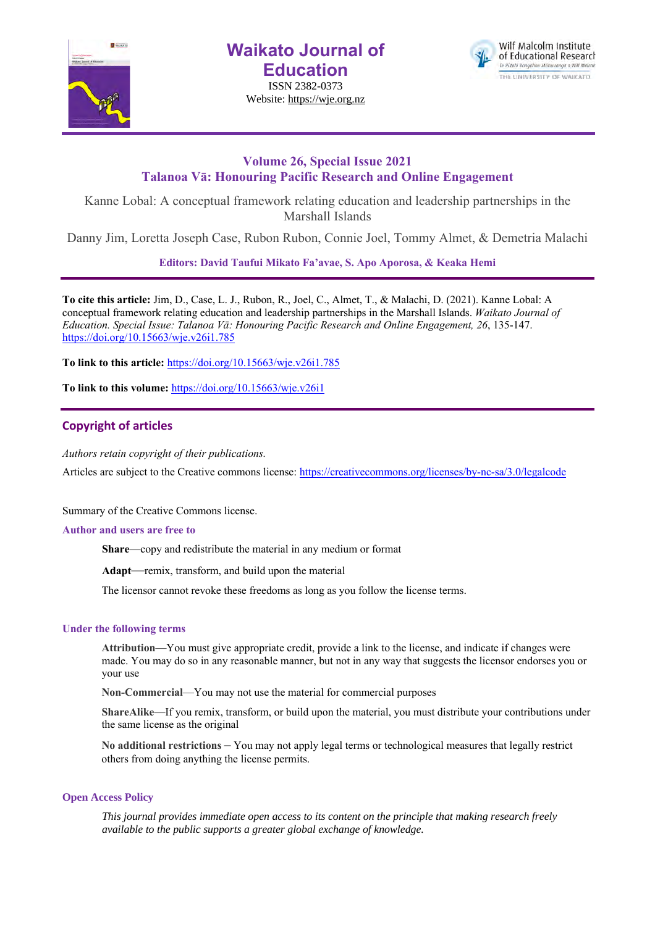

**Waikato Journal of Education**

ISSN 2382-0373 Website: https://wje.org.nz



# **Volume 26, Special Issue 2021 Talanoa Vā: Honouring Pacific Research and Online Engagement**

Kanne Lobal: A conceptual framework relating education and leadership partnerships in the Marshall Islands

Danny Jim, Loretta Joseph Case, Rubon Rubon, Connie Joel, Tommy Almet, & Demetria Malachi

**Editors: David Taufui Mikato Fa'avae, S. Apo Aporosa, & Keaka Hemi**

**To cite this article:** Jim, D., Case, L. J., Rubon, R., Joel, C., Almet, T., & Malachi, D. (2021). Kanne Lobal: A conceptual framework relating education and leadership partnerships in the Marshall Islands. *Waikato Journal of Education. Special Issue: Talanoa Vā: Honouring Pacific Research and Online Engagement, 26*, 135-147. https://doi.org/10.15663/wje.v26i1.785

**To link to this article:** https://doi.org/10.15663/wje.v26i1.785

**To link to this volume:** https://doi.org/10.15663/wje.v26i1

# **Copyright of articles**

*Authors retain copyright of their publications.*

Articles are subject to the Creative commons license: https://creativecommons.org/licenses/by-nc-sa/3.0/legalcode

Summary of the Creative Commons license.

#### **Author and users are free to**

**Share**—copy and redistribute the material in any medium or format

**Adapt**—remix, transform, and build upon the material

The licensor cannot revoke these freedoms as long as you follow the license terms.

## **Under the following terms**

**Attribution**—You must give appropriate credit, provide a link to the license, and indicate if changes were made. You may do so in any reasonable manner, but not in any way that suggests the licensor endorses you or your use

**Non-Commercial**—You may not use the material for commercial purposes

**ShareAlike**—If you remix, transform, or build upon the material, you must distribute your contributions under the same license as the original

**No additional restrictions** – You may not apply legal terms or technological measures that legally restrict others from doing anything the license permits.

#### **Open Access Policy**

*This journal provides immediate open access to its content on the principle that making research freely available to the public supports a greater global exchange of knowledge.*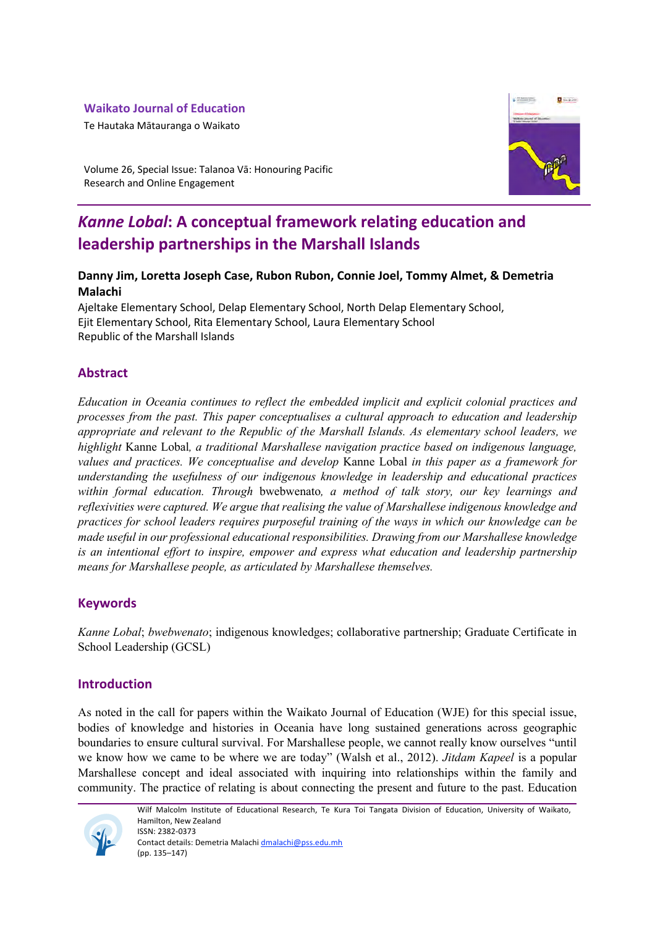# **Waikato Journal of Education**

Te Hautaka Mātauranga o Waikato



Volume 26, Special Issue: Talanoa Vā: Honouring Pacific Research and Online Engagement

# *Kanne Lobal***: A conceptual framework relating education and leadership partnerships in the Marshall Islands**

# **Danny Jim, Loretta Joseph Case, Rubon Rubon, Connie Joel, Tommy Almet, & Demetria Malachi**

Ajeltake Elementary School, Delap Elementary School, North Delap Elementary School, Ejit Elementary School, Rita Elementary School, Laura Elementary School Republic of the Marshall Islands

# **Abstract**

*Education in Oceania continues to reflect the embedded implicit and explicit colonial practices and processes from the past. This paper conceptualises a cultural approach to education and leadership appropriate and relevant to the Republic of the Marshall Islands. As elementary school leaders, we highlight* Kanne Lobal*, a traditional Marshallese navigation practice based on indigenous language, values and practices. We conceptualise and develop* Kanne Lobal *in this paper as a framework for understanding the usefulness of our indigenous knowledge in leadership and educational practices within formal education. Through* bwebwenato*, a method of talk story, our key learnings and reflexivities were captured. We argue that realising the value of Marshallese indigenous knowledge and practices for school leaders requires purposeful training of the ways in which our knowledge can be made useful in our professional educational responsibilities. Drawing from our Marshallese knowledge is an intentional effort to inspire, empower and express what education and leadership partnership means for Marshallese people, as articulated by Marshallese themselves.*

# **Keywords**

*Kanne Lobal*; *bwebwenato*; indigenous knowledges; collaborative partnership; Graduate Certificate in School Leadership (GCSL)

# **Introduction**

As noted in the call for papers within the Waikato Journal of Education (WJE) for this special issue, bodies of knowledge and histories in Oceania have long sustained generations across geographic boundaries to ensure cultural survival. For Marshallese people, we cannot really know ourselves "until we know how we came to be where we are today" (Walsh et al., 2012). *Jitdam Kapeel* is a popular Marshallese concept and ideal associated with inquiring into relationships within the family and community. The practice of relating is about connecting the present and future to the past. Education



Wilf Malcolm Institute of Educational Research, Te Kura Toi Tangata Division of Education, University of Waikato, Hamilton, New Zealand ISSN: 2382-0373 Contact details: Demetria Malachi dmalachi@pss.edu.mh

(pp. 135–147)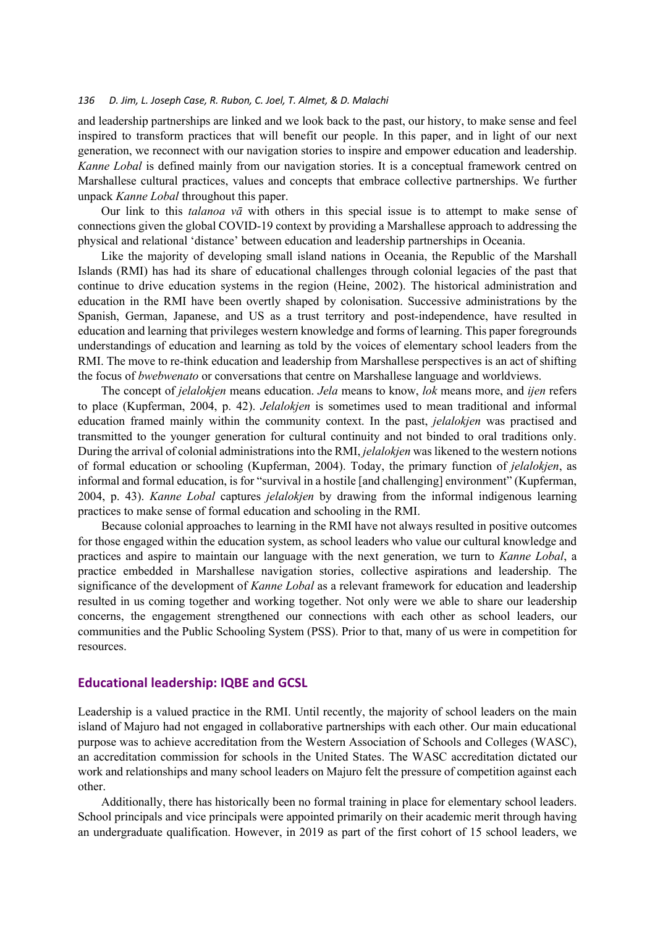and leadership partnerships are linked and we look back to the past, our history, to make sense and feel inspired to transform practices that will benefit our people. In this paper, and in light of our next generation, we reconnect with our navigation stories to inspire and empower education and leadership. *Kanne Lobal* is defined mainly from our navigation stories. It is a conceptual framework centred on Marshallese cultural practices, values and concepts that embrace collective partnerships. We further unpack *Kanne Lobal* throughout this paper.

Our link to this *talanoa vā* with others in this special issue is to attempt to make sense of connections given the global COVID-19 context by providing a Marshallese approach to addressing the physical and relational 'distance' between education and leadership partnerships in Oceania.

Like the majority of developing small island nations in Oceania, the Republic of the Marshall Islands (RMI) has had its share of educational challenges through colonial legacies of the past that continue to drive education systems in the region (Heine, 2002). The historical administration and education in the RMI have been overtly shaped by colonisation. Successive administrations by the Spanish, German, Japanese, and US as a trust territory and post-independence, have resulted in education and learning that privileges western knowledge and forms of learning. This paper foregrounds understandings of education and learning as told by the voices of elementary school leaders from the RMI. The move to re-think education and leadership from Marshallese perspectives is an act of shifting the focus of *bwebwenato* or conversations that centre on Marshallese language and worldviews.

The concept of *jelalokjen* means education. *Jela* means to know, *lok* means more, and *ijen* refers to place (Kupferman, 2004, p. 42). *Jelalokjen* is sometimes used to mean traditional and informal education framed mainly within the community context. In the past, *jelalokjen* was practised and transmitted to the younger generation for cultural continuity and not binded to oral traditions only. During the arrival of colonial administrations into the RMI, *jelalokjen* was likened to the western notions of formal education or schooling (Kupferman, 2004). Today, the primary function of *jelalokjen*, as informal and formal education, is for "survival in a hostile [and challenging] environment" (Kupferman, 2004, p. 43). *Kanne Lobal* captures *jelalokjen* by drawing from the informal indigenous learning practices to make sense of formal education and schooling in the RMI.

Because colonial approaches to learning in the RMI have not always resulted in positive outcomes for those engaged within the education system, as school leaders who value our cultural knowledge and practices and aspire to maintain our language with the next generation, we turn to *Kanne Lobal*, a practice embedded in Marshallese navigation stories, collective aspirations and leadership. The significance of the development of *Kanne Lobal* as a relevant framework for education and leadership resulted in us coming together and working together. Not only were we able to share our leadership concerns, the engagement strengthened our connections with each other as school leaders, our communities and the Public Schooling System (PSS). Prior to that, many of us were in competition for resources.

## **Educational leadership: IQBE and GCSL**

Leadership is a valued practice in the RMI. Until recently, the majority of school leaders on the main island of Majuro had not engaged in collaborative partnerships with each other. Our main educational purpose was to achieve accreditation from the Western Association of Schools and Colleges (WASC), an accreditation commission for schools in the United States. The WASC accreditation dictated our work and relationships and many school leaders on Majuro felt the pressure of competition against each other.

Additionally, there has historically been no formal training in place for elementary school leaders. School principals and vice principals were appointed primarily on their academic merit through having an undergraduate qualification. However, in 2019 as part of the first cohort of 15 school leaders, we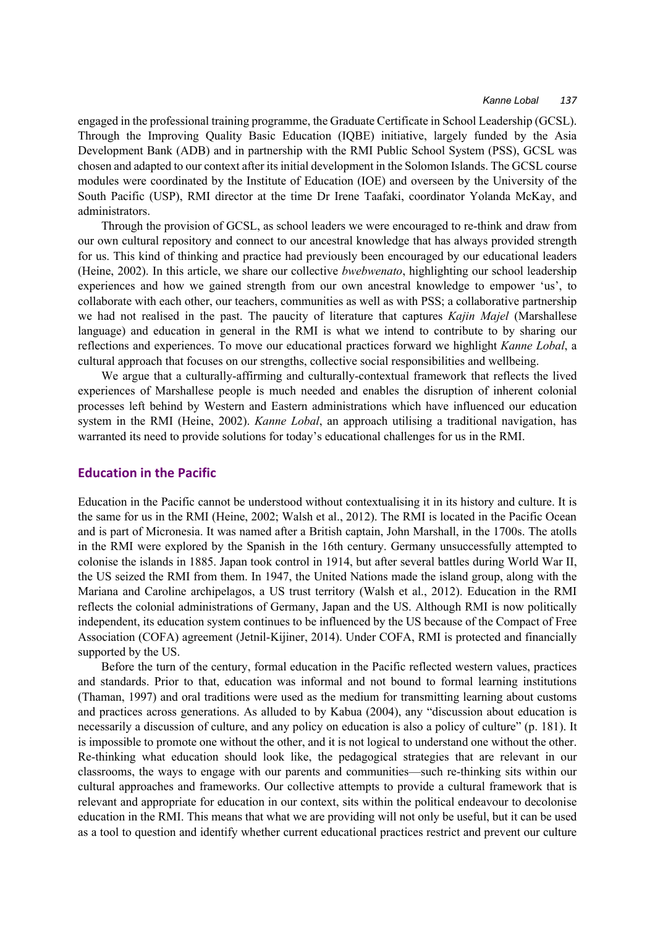engaged in the professional training programme, the Graduate Certificate in School Leadership (GCSL). Through the Improving Quality Basic Education (IQBE) initiative, largely funded by the Asia Development Bank (ADB) and in partnership with the RMI Public School System (PSS), GCSL was chosen and adapted to our context after its initial development in the Solomon Islands. The GCSL course modules were coordinated by the Institute of Education (IOE) and overseen by the University of the South Pacific (USP), RMI director at the time Dr Irene Taafaki, coordinator Yolanda McKay, and administrators.

Through the provision of GCSL, as school leaders we were encouraged to re-think and draw from our own cultural repository and connect to our ancestral knowledge that has always provided strength for us. This kind of thinking and practice had previously been encouraged by our educational leaders (Heine, 2002). In this article, we share our collective *bwebwenato*, highlighting our school leadership experiences and how we gained strength from our own ancestral knowledge to empower 'us', to collaborate with each other, our teachers, communities as well as with PSS; a collaborative partnership we had not realised in the past. The paucity of literature that captures *Kajin Majel* (Marshallese language) and education in general in the RMI is what we intend to contribute to by sharing our reflections and experiences. To move our educational practices forward we highlight *Kanne Lobal*, a cultural approach that focuses on our strengths, collective social responsibilities and wellbeing.

We argue that a culturally-affirming and culturally-contextual framework that reflects the lived experiences of Marshallese people is much needed and enables the disruption of inherent colonial processes left behind by Western and Eastern administrations which have influenced our education system in the RMI (Heine, 2002). *Kanne Lobal*, an approach utilising a traditional navigation, has warranted its need to provide solutions for today's educational challenges for us in the RMI.

## **Education in the Pacific**

Education in the Pacific cannot be understood without contextualising it in its history and culture. It is the same for us in the RMI (Heine, 2002; Walsh et al., 2012). The RMI is located in the Pacific Ocean and is part of Micronesia. It was named after a British captain, John Marshall, in the 1700s. The atolls in the RMI were explored by the Spanish in the 16th century. Germany unsuccessfully attempted to colonise the islands in 1885. Japan took control in 1914, but after several battles during World War II, the US seized the RMI from them. In 1947, the United Nations made the island group, along with the Mariana and Caroline archipelagos, a US trust territory (Walsh et al., 2012). Education in the RMI reflects the colonial administrations of Germany, Japan and the US. Although RMI is now politically independent, its education system continues to be influenced by the US because of the Compact of Free Association (COFA) agreement (Jetnil-Kijiner, 2014). Under COFA, RMI is protected and financially supported by the US.

Before the turn of the century, formal education in the Pacific reflected western values, practices and standards. Prior to that, education was informal and not bound to formal learning institutions (Thaman, 1997) and oral traditions were used as the medium for transmitting learning about customs and practices across generations. As alluded to by Kabua (2004), any "discussion about education is necessarily a discussion of culture, and any policy on education is also a policy of culture" (p. 181). It is impossible to promote one without the other, and it is not logical to understand one without the other. Re-thinking what education should look like, the pedagogical strategies that are relevant in our classrooms, the ways to engage with our parents and communities—such re-thinking sits within our cultural approaches and frameworks. Our collective attempts to provide a cultural framework that is relevant and appropriate for education in our context, sits within the political endeavour to decolonise education in the RMI. This means that what we are providing will not only be useful, but it can be used as a tool to question and identify whether current educational practices restrict and prevent our culture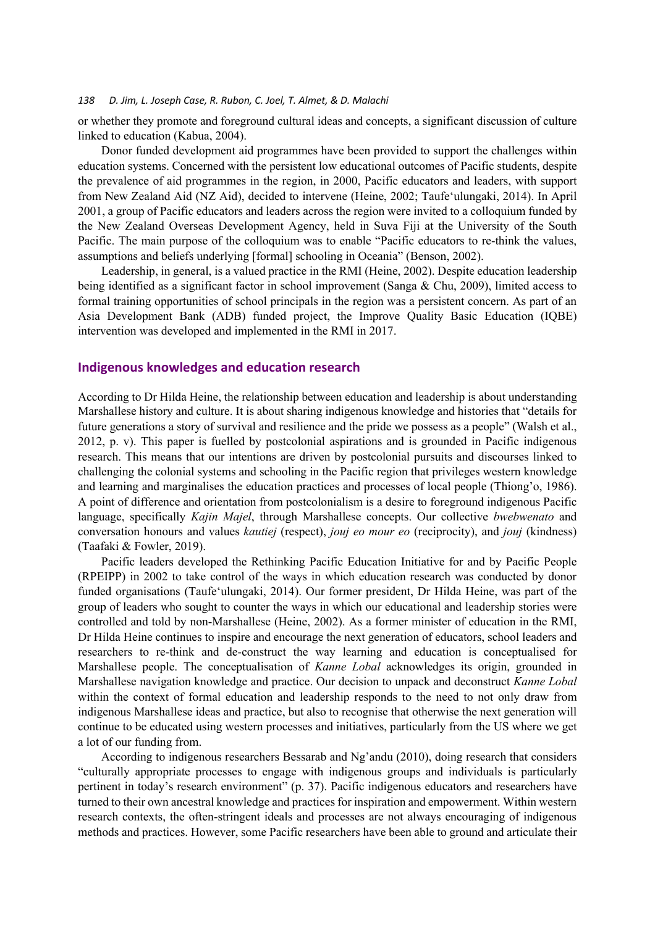or whether they promote and foreground cultural ideas and concepts, a significant discussion of culture linked to education (Kabua, 2004).

Donor funded development aid programmes have been provided to support the challenges within education systems. Concerned with the persistent low educational outcomes of Pacific students, despite the prevalence of aid programmes in the region, in 2000, Pacific educators and leaders, with support from New Zealand Aid (NZ Aid), decided to intervene (Heine, 2002; Taufe'ulungaki, 2014). In April 2001, a group of Pacific educators and leaders across the region were invited to a colloquium funded by the New Zealand Overseas Development Agency, held in Suva Fiji at the University of the South Pacific. The main purpose of the colloquium was to enable "Pacific educators to re-think the values, assumptions and beliefs underlying [formal] schooling in Oceania" (Benson, 2002).

Leadership, in general, is a valued practice in the RMI (Heine, 2002). Despite education leadership being identified as a significant factor in school improvement (Sanga & Chu, 2009), limited access to formal training opportunities of school principals in the region was a persistent concern. As part of an Asia Development Bank (ADB) funded project, the Improve Quality Basic Education (IQBE) intervention was developed and implemented in the RMI in 2017.

### **Indigenous knowledges and education research**

According to Dr Hilda Heine, the relationship between education and leadership is about understanding Marshallese history and culture. It is about sharing indigenous knowledge and histories that "details for future generations a story of survival and resilience and the pride we possess as a people" (Walsh et al., 2012, p. v). This paper is fuelled by postcolonial aspirations and is grounded in Pacific indigenous research. This means that our intentions are driven by postcolonial pursuits and discourses linked to challenging the colonial systems and schooling in the Pacific region that privileges western knowledge and learning and marginalises the education practices and processes of local people (Thiong'o, 1986). A point of difference and orientation from postcolonialism is a desire to foreground indigenous Pacific language, specifically *Kajin Majel*, through Marshallese concepts. Our collective *bwebwenato* and conversation honours and values *kautiej* (respect), *jouj eo mour eo* (reciprocity), and *jouj* (kindness) (Taafaki & Fowler, 2019).

Pacific leaders developed the Rethinking Pacific Education Initiative for and by Pacific People (RPEIPP) in 2002 to take control of the ways in which education research was conducted by donor funded organisations (Taufe'ulungaki, 2014). Our former president, Dr Hilda Heine, was part of the group of leaders who sought to counter the ways in which our educational and leadership stories were controlled and told by non-Marshallese (Heine, 2002). As a former minister of education in the RMI, Dr Hilda Heine continues to inspire and encourage the next generation of educators, school leaders and researchers to re-think and de-construct the way learning and education is conceptualised for Marshallese people. The conceptualisation of *Kanne Lobal* acknowledges its origin, grounded in Marshallese navigation knowledge and practice. Our decision to unpack and deconstruct *Kanne Lobal* within the context of formal education and leadership responds to the need to not only draw from indigenous Marshallese ideas and practice, but also to recognise that otherwise the next generation will continue to be educated using western processes and initiatives, particularly from the US where we get a lot of our funding from.

According to indigenous researchers Bessarab and Ng'andu (2010), doing research that considers "culturally appropriate processes to engage with indigenous groups and individuals is particularly pertinent in today's research environment" (p. 37). Pacific indigenous educators and researchers have turned to their own ancestral knowledge and practices for inspiration and empowerment. Within western research contexts, the often-stringent ideals and processes are not always encouraging of indigenous methods and practices. However, some Pacific researchers have been able to ground and articulate their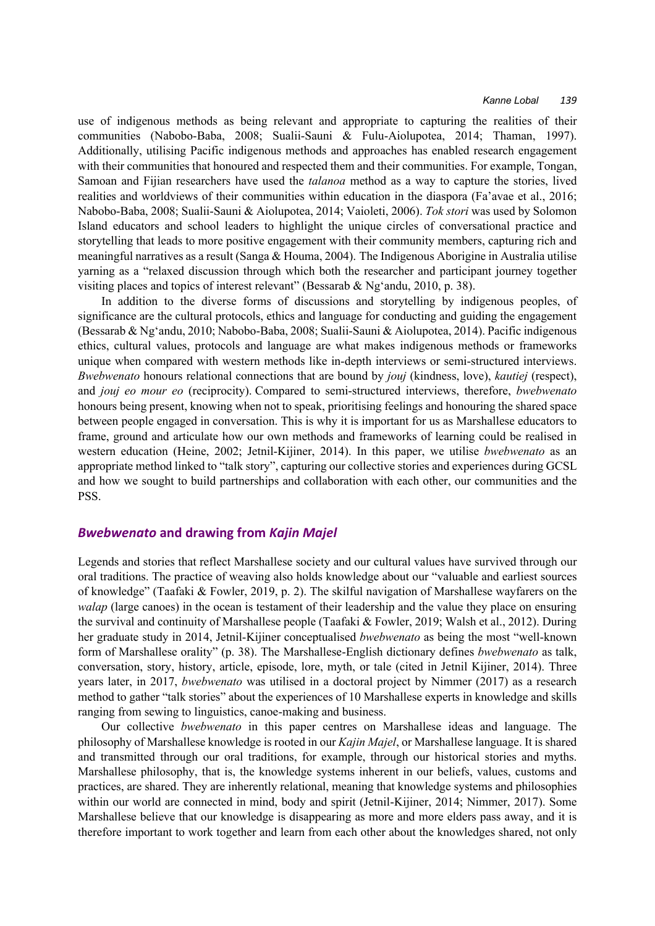use of indigenous methods as being relevant and appropriate to capturing the realities of their communities (Nabobo-Baba, 2008; Sualii-Sauni & Fulu-Aiolupotea, 2014; Thaman, 1997). Additionally, utilising Pacific indigenous methods and approaches has enabled research engagement with their communities that honoured and respected them and their communities. For example, Tongan, Samoan and Fijian researchers have used the *talanoa* method as a way to capture the stories, lived realities and worldviews of their communities within education in the diaspora (Fa'avae et al., 2016; Nabobo-Baba, 2008; Sualii-Sauni & Aiolupotea, 2014; Vaioleti, 2006). *Tok stori* was used by Solomon Island educators and school leaders to highlight the unique circles of conversational practice and storytelling that leads to more positive engagement with their community members, capturing rich and meaningful narratives as a result (Sanga & Houma, 2004). The Indigenous Aborigine in Australia utilise yarning as a "relaxed discussion through which both the researcher and participant journey together visiting places and topics of interest relevant" (Bessarab & Ng'andu, 2010, p. 38).

In addition to the diverse forms of discussions and storytelling by indigenous peoples, of significance are the cultural protocols, ethics and language for conducting and guiding the engagement (Bessarab & Ng'andu, 2010; Nabobo-Baba, 2008; Sualii-Sauni & Aiolupotea, 2014). Pacific indigenous ethics, cultural values, protocols and language are what makes indigenous methods or frameworks unique when compared with western methods like in-depth interviews or semi-structured interviews. *Bwebwenato* honours relational connections that are bound by *jouj* (kindness, love), *kautiej* (respect), and *jouj eo mour eo* (reciprocity). Compared to semi-structured interviews, therefore, *bwebwenato* honours being present, knowing when not to speak, prioritising feelings and honouring the shared space between people engaged in conversation. This is why it is important for us as Marshallese educators to frame, ground and articulate how our own methods and frameworks of learning could be realised in western education (Heine, 2002; Jetnil-Kijiner, 2014). In this paper, we utilise *bwebwenato* as an appropriate method linked to "talk story", capturing our collective stories and experiences during GCSL and how we sought to build partnerships and collaboration with each other, our communities and the PSS.

#### *Bwebwenato* **and drawing from** *Kajin Majel*

Legends and stories that reflect Marshallese society and our cultural values have survived through our oral traditions. The practice of weaving also holds knowledge about our "valuable and earliest sources of knowledge" (Taafaki & Fowler, 2019, p. 2). The skilful navigation of Marshallese wayfarers on the *walap* (large canoes) in the ocean is testament of their leadership and the value they place on ensuring the survival and continuity of Marshallese people (Taafaki & Fowler, 2019; Walsh et al., 2012). During her graduate study in 2014, Jetnil-Kijiner conceptualised *bwebwenato* as being the most "well-known form of Marshallese orality" (p. 38). The Marshallese-English dictionary defines *bwebwenato* as talk, conversation, story, history, article, episode, lore, myth, or tale (cited in Jetnil Kijiner, 2014). Three years later, in 2017, *bwebwenato* was utilised in a doctoral project by Nimmer (2017) as a research method to gather "talk stories" about the experiences of 10 Marshallese experts in knowledge and skills ranging from sewing to linguistics, canoe-making and business.

Our collective *bwebwenato* in this paper centres on Marshallese ideas and language. The philosophy of Marshallese knowledge is rooted in our *Kajin Majel*, or Marshallese language. It is shared and transmitted through our oral traditions, for example, through our historical stories and myths. Marshallese philosophy, that is, the knowledge systems inherent in our beliefs, values, customs and practices, are shared. They are inherently relational, meaning that knowledge systems and philosophies within our world are connected in mind, body and spirit (Jetnil-Kijiner, 2014; Nimmer, 2017). Some Marshallese believe that our knowledge is disappearing as more and more elders pass away, and it is therefore important to work together and learn from each other about the knowledges shared, not only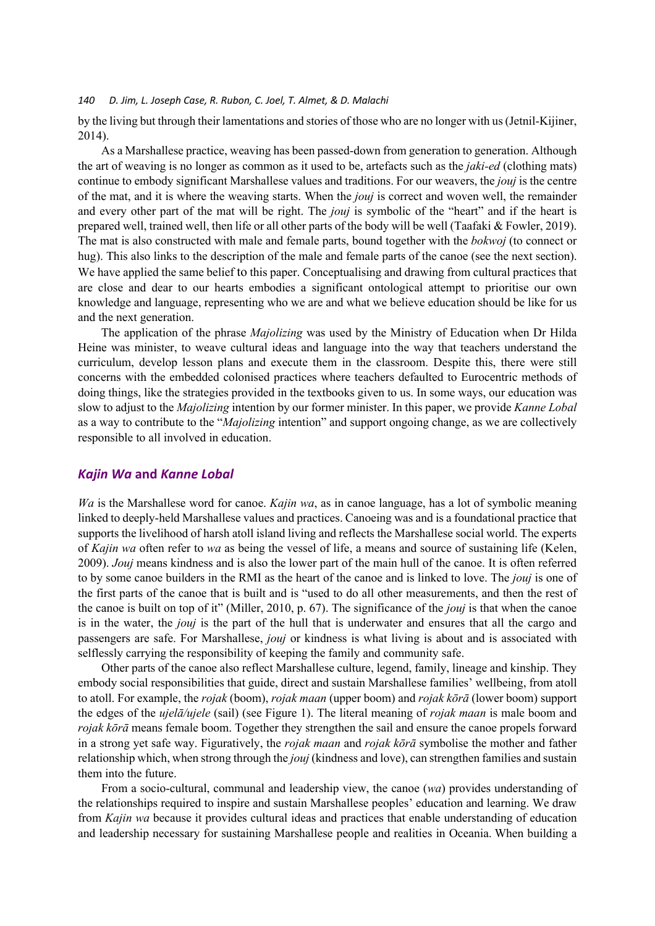by the living but through their lamentations and stories of those who are no longer with us (Jetnil-Kijiner, 2014).

As a Marshallese practice, weaving has been passed-down from generation to generation. Although the art of weaving is no longer as common as it used to be, artefacts such as the *jaki-ed* (clothing mats) continue to embody significant Marshallese values and traditions. For our weavers, the *jouj* is the centre of the mat, and it is where the weaving starts. When the *jouj* is correct and woven well, the remainder and every other part of the mat will be right. The *jouj* is symbolic of the "heart" and if the heart is prepared well, trained well, then life or all other parts of the body will be well (Taafaki & Fowler, 2019). The mat is also constructed with male and female parts, bound together with the *bokwoj* (to connect or hug). This also links to the description of the male and female parts of the canoe (see the next section). We have applied the same belief to this paper. Conceptualising and drawing from cultural practices that are close and dear to our hearts embodies a significant ontological attempt to prioritise our own knowledge and language, representing who we are and what we believe education should be like for us and the next generation.

The application of the phrase *Majolizing* was used by the Ministry of Education when Dr Hilda Heine was minister, to weave cultural ideas and language into the way that teachers understand the curriculum, develop lesson plans and execute them in the classroom. Despite this, there were still concerns with the embedded colonised practices where teachers defaulted to Eurocentric methods of doing things, like the strategies provided in the textbooks given to us. In some ways, our education was slow to adjust to the *Majolizing* intention by our former minister. In this paper, we provide *Kanne Lobal* as a way to contribute to the "*Majolizing* intention" and support ongoing change, as we are collectively responsible to all involved in education.

## *Kajin Wa* **and** *Kanne Lobal*

*Wa* is the Marshallese word for canoe. *Kajin wa*, as in canoe language, has a lot of symbolic meaning linked to deeply-held Marshallese values and practices. Canoeing was and is a foundational practice that supports the livelihood of harsh atoll island living and reflects the Marshallese social world. The experts of *Kajin wa* often refer to *wa* as being the vessel of life, a means and source of sustaining life (Kelen, 2009). *Jouj* means kindness and is also the lower part of the main hull of the canoe. It is often referred to by some canoe builders in the RMI as the heart of the canoe and is linked to love. The *jouj* is one of the first parts of the canoe that is built and is "used to do all other measurements, and then the rest of the canoe is built on top of it" (Miller, 2010, p. 67). The significance of the *jouj* is that when the canoe is in the water, the *jouj* is the part of the hull that is underwater and ensures that all the cargo and passengers are safe. For Marshallese, *jouj* or kindness is what living is about and is associated with selflessly carrying the responsibility of keeping the family and community safe.

Other parts of the canoe also reflect Marshallese culture, legend, family, lineage and kinship. They embody social responsibilities that guide, direct and sustain Marshallese families' wellbeing, from atoll to atoll. For example, the *rojak* (boom), *rojak maan* (upper boom) and *rojak kōrā* (lower boom) support the edges of the *ujelā/ujele* (sail) (see Figure 1). The literal meaning of *rojak maan* is male boom and *rojak kōrā* means female boom. Together they strengthen the sail and ensure the canoe propels forward in a strong yet safe way. Figuratively, the *rojak maan* and *rojak kōrā* symbolise the mother and father relationship which, when strong through the *jouj* (kindness and love), can strengthen families and sustain them into the future.

From a socio-cultural, communal and leadership view, the canoe (*wa*) provides understanding of the relationships required to inspire and sustain Marshallese peoples' education and learning. We draw from *Kajin wa* because it provides cultural ideas and practices that enable understanding of education and leadership necessary for sustaining Marshallese people and realities in Oceania. When building a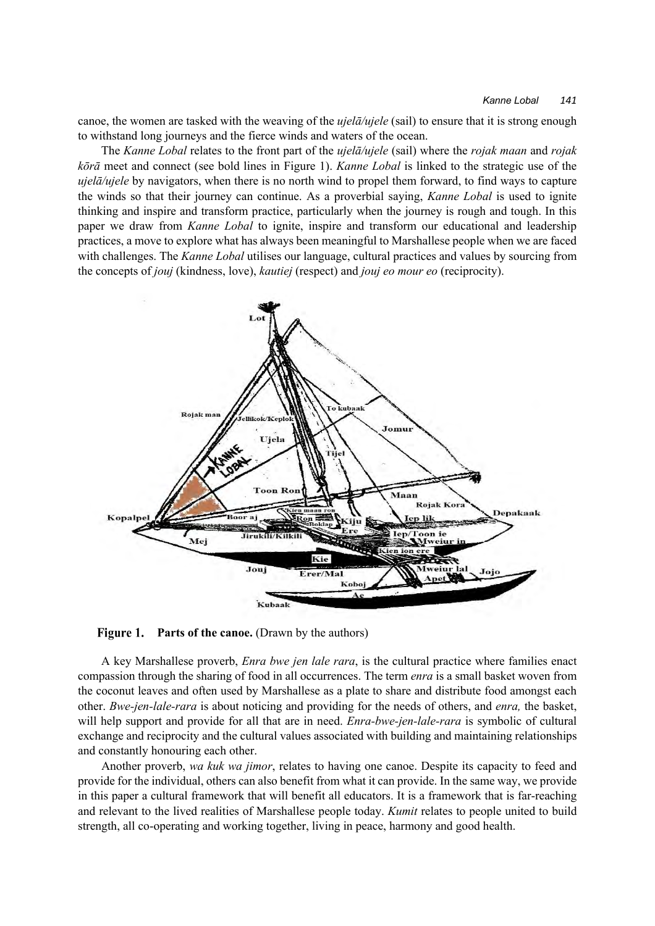canoe, the women are tasked with the weaving of the *ujelā/ujele* (sail) to ensure that it is strong enough to withstand long journeys and the fierce winds and waters of the ocean.

The *Kanne Lobal* relates to the front part of the *ujelā/ujele* (sail) where the *rojak maan* and *rojak kōrā* meet and connect (see bold lines in Figure 1). *Kanne Lobal* is linked to the strategic use of the *ujelā/ujele* by navigators, when there is no north wind to propel them forward, to find ways to capture the winds so that their journey can continue. As a proverbial saying, *Kanne Lobal* is used to ignite thinking and inspire and transform practice, particularly when the journey is rough and tough. In this paper we draw from *Kanne Lobal* to ignite, inspire and transform our educational and leadership practices, a move to explore what has always been meaningful to Marshallese people when we are faced with challenges. The *Kanne Lobal* utilises our language, cultural practices and values by sourcing from the concepts of *jouj* (kindness, love), *kautiej* (respect) and *jouj eo mour eo* (reciprocity).



Figure 1. Parts of the canoe. (Drawn by the authors)

A key Marshallese proverb, *Enra bwe jen lale rara*, is the cultural practice where families enact compassion through the sharing of food in all occurrences. The term *enra* is a small basket woven from the coconut leaves and often used by Marshallese as a plate to share and distribute food amongst each other. *Bwe-jen-lale-rara* is about noticing and providing for the needs of others, and *enra,* the basket, will help support and provide for all that are in need. *Enra-bwe-jen-lale-rara* is symbolic of cultural exchange and reciprocity and the cultural values associated with building and maintaining relationships and constantly honouring each other.

Another proverb, *wa kuk wa jimor*, relates to having one canoe. Despite its capacity to feed and provide for the individual, others can also benefit from what it can provide. In the same way, we provide in this paper a cultural framework that will benefit all educators. It is a framework that is far-reaching and relevant to the lived realities of Marshallese people today. *Kumit* relates to people united to build strength, all co-operating and working together, living in peace, harmony and good health.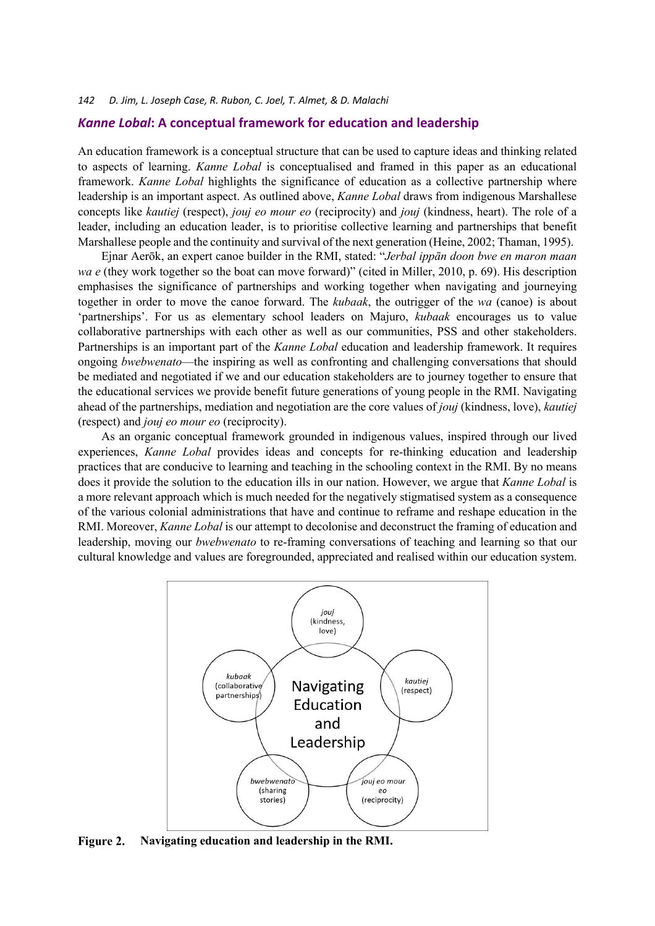#### *Kanne Lobal***: A conceptual framework for education and leadership**

An education framework is a conceptual structure that can be used to capture ideas and thinking related to aspects of learning. *Kanne Lobal* is conceptualised and framed in this paper as an educational framework. *Kanne Lobal* highlights the significance of education as a collective partnership where leadership is an important aspect. As outlined above, *Kanne Lobal* draws from indigenous Marshallese concepts like *kautiej* (respect), *jouj eo mour eo* (reciprocity) and *jouj* (kindness, heart). The role of a leader, including an education leader, is to prioritise collective learning and partnerships that benefit Marshallese people and the continuity and survival of the next generation (Heine, 2002; Thaman, 1995).

Ejnar Aerōk, an expert canoe builder in the RMI, stated: "*Jerbal ippān doon bwe en maron maan wa e* (they work together so the boat can move forward)" (cited in Miller, 2010, p. 69). His description emphasises the significance of partnerships and working together when navigating and journeying together in order to move the canoe forward. The *kubaak*, the outrigger of the *wa* (canoe) is about 'partnerships'. For us as elementary school leaders on Majuro, *kubaak* encourages us to value collaborative partnerships with each other as well as our communities, PSS and other stakeholders. Partnerships is an important part of the *Kanne Lobal* education and leadership framework. It requires ongoing *bwebwenato*—the inspiring as well as confronting and challenging conversations that should be mediated and negotiated if we and our education stakeholders are to journey together to ensure that the educational services we provide benefit future generations of young people in the RMI. Navigating ahead of the partnerships, mediation and negotiation are the core values of *jouj* (kindness, love), *kautiej* (respect) and *jouj eo mour eo* (reciprocity).

As an organic conceptual framework grounded in indigenous values, inspired through our lived experiences, *Kanne Lobal* provides ideas and concepts for re-thinking education and leadership practices that are conducive to learning and teaching in the schooling context in the RMI. By no means does it provide the solution to the education ills in our nation. However, we argue that *Kanne Lobal* is a more relevant approach which is much needed for the negatively stigmatised system as a consequence of the various colonial administrations that have and continue to reframe and reshape education in the RMI. Moreover, *Kanne Lobal* is our attempt to decolonise and deconstruct the framing of education and leadership, moving our *bwebwenato* to re-framing conversations of teaching and learning so that our cultural knowledge and values are foregrounded, appreciated and realised within our education system.



Figure 2. **Navigating education and leadership in the RMI.**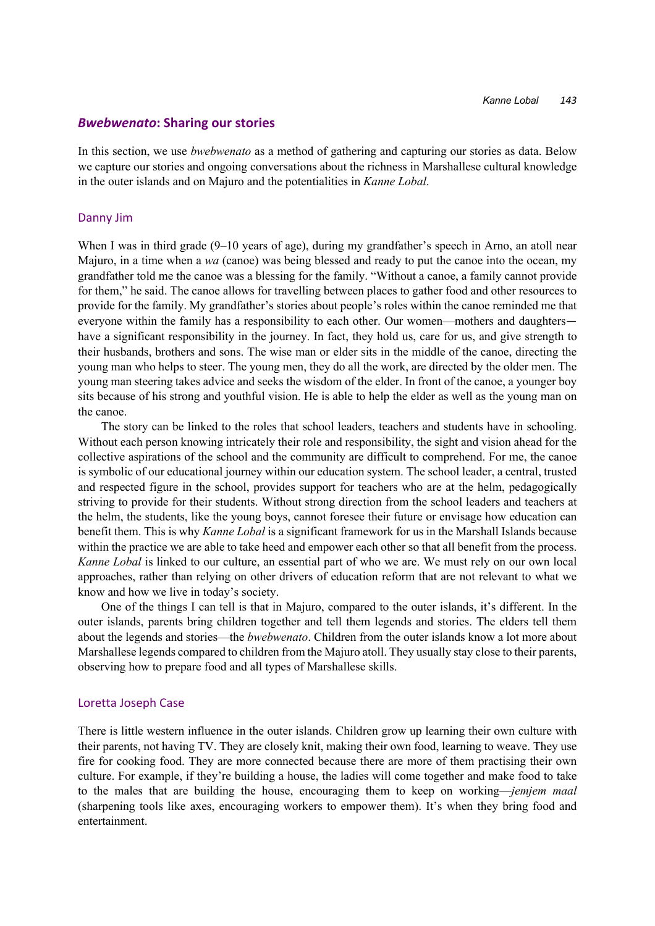#### *Bwebwenato***: Sharing our stories**

In this section, we use *bwebwenato* as a method of gathering and capturing our stories as data. Below we capture our stories and ongoing conversations about the richness in Marshallese cultural knowledge in the outer islands and on Majuro and the potentialities in *Kanne Lobal*.

#### Danny Jim

When I was in third grade (9–10 years of age), during my grandfather's speech in Arno, an atoll near Majuro, in a time when a *wa* (canoe) was being blessed and ready to put the canoe into the ocean, my grandfather told me the canoe was a blessing for the family. "Without a canoe, a family cannot provide for them," he said. The canoe allows for travelling between places to gather food and other resources to provide for the family. My grandfather's stories about people's roles within the canoe reminded me that everyone within the family has a responsibility to each other. Our women—mothers and daughters have a significant responsibility in the journey. In fact, they hold us, care for us, and give strength to their husbands, brothers and sons. The wise man or elder sits in the middle of the canoe, directing the young man who helps to steer. The young men, they do all the work, are directed by the older men. The young man steering takes advice and seeks the wisdom of the elder. In front of the canoe, a younger boy sits because of his strong and youthful vision. He is able to help the elder as well as the young man on the canoe.

The story can be linked to the roles that school leaders, teachers and students have in schooling. Without each person knowing intricately their role and responsibility, the sight and vision ahead for the collective aspirations of the school and the community are difficult to comprehend. For me, the canoe is symbolic of our educational journey within our education system. The school leader, a central, trusted and respected figure in the school, provides support for teachers who are at the helm, pedagogically striving to provide for their students. Without strong direction from the school leaders and teachers at the helm, the students, like the young boys, cannot foresee their future or envisage how education can benefit them. This is why *Kanne Lobal* is a significant framework for us in the Marshall Islands because within the practice we are able to take heed and empower each other so that all benefit from the process. *Kanne Lobal* is linked to our culture, an essential part of who we are. We must rely on our own local approaches, rather than relying on other drivers of education reform that are not relevant to what we know and how we live in today's society.

One of the things I can tell is that in Majuro, compared to the outer islands, it's different. In the outer islands, parents bring children together and tell them legends and stories. The elders tell them about the legends and stories—the *bwebwenato*. Children from the outer islands know a lot more about Marshallese legends compared to children from the Majuro atoll. They usually stay close to their parents, observing how to prepare food and all types of Marshallese skills.

#### Loretta Joseph Case

There is little western influence in the outer islands. Children grow up learning their own culture with their parents, not having TV. They are closely knit, making their own food, learning to weave. They use fire for cooking food. They are more connected because there are more of them practising their own culture. For example, if they're building a house, the ladies will come together and make food to take to the males that are building the house, encouraging them to keep on working—*jemjem maal* (sharpening tools like axes, encouraging workers to empower them). It's when they bring food and entertainment.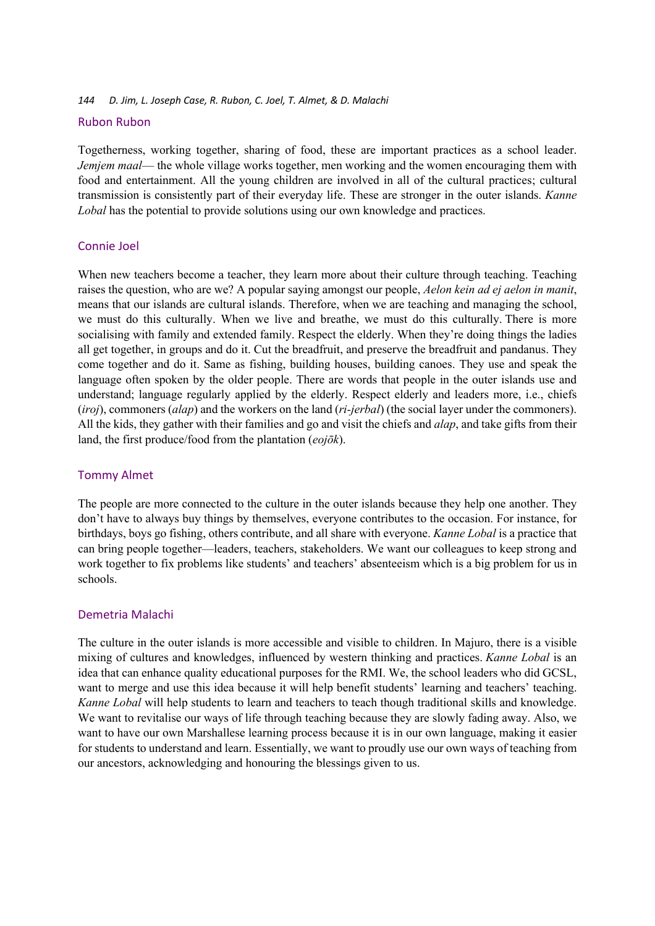### Rubon Rubon

Togetherness, working together, sharing of food, these are important practices as a school leader. *Jemjem maal*— the whole village works together, men working and the women encouraging them with food and entertainment. All the young children are involved in all of the cultural practices; cultural transmission is consistently part of their everyday life. These are stronger in the outer islands. *Kanne Lobal* has the potential to provide solutions using our own knowledge and practices.

## Connie Joel

When new teachers become a teacher, they learn more about their culture through teaching. Teaching raises the question, who are we? A popular saying amongst our people, *Aelon kein ad ej aelon in manit*, means that our islands are cultural islands. Therefore, when we are teaching and managing the school, we must do this culturally. When we live and breathe, we must do this culturally. There is more socialising with family and extended family. Respect the elderly. When they're doing things the ladies all get together, in groups and do it. Cut the breadfruit, and preserve the breadfruit and pandanus. They come together and do it. Same as fishing, building houses, building canoes. They use and speak the language often spoken by the older people. There are words that people in the outer islands use and understand; language regularly applied by the elderly. Respect elderly and leaders more, i.e., chiefs (*iroj*), commoners (*alap*) and the workers on the land (*ri-jerbal*) (the social layer under the commoners). All the kids, they gather with their families and go and visit the chiefs and *alap*, and take gifts from their land, the first produce/food from the plantation (*eojōk*).

## Tommy Almet

The people are more connected to the culture in the outer islands because they help one another. They don't have to always buy things by themselves, everyone contributes to the occasion. For instance, for birthdays, boys go fishing, others contribute, and all share with everyone. *Kanne Lobal* is a practice that can bring people together—leaders, teachers, stakeholders. We want our colleagues to keep strong and work together to fix problems like students' and teachers' absenteeism which is a big problem for us in schools.

## Demetria Malachi

The culture in the outer islands is more accessible and visible to children. In Majuro, there is a visible mixing of cultures and knowledges, influenced by western thinking and practices. *Kanne Lobal* is an idea that can enhance quality educational purposes for the RMI. We, the school leaders who did GCSL, want to merge and use this idea because it will help benefit students' learning and teachers' teaching. *Kanne Lobal* will help students to learn and teachers to teach though traditional skills and knowledge. We want to revitalise our ways of life through teaching because they are slowly fading away. Also, we want to have our own Marshallese learning process because it is in our own language, making it easier for students to understand and learn. Essentially, we want to proudly use our own ways of teaching from our ancestors, acknowledging and honouring the blessings given to us.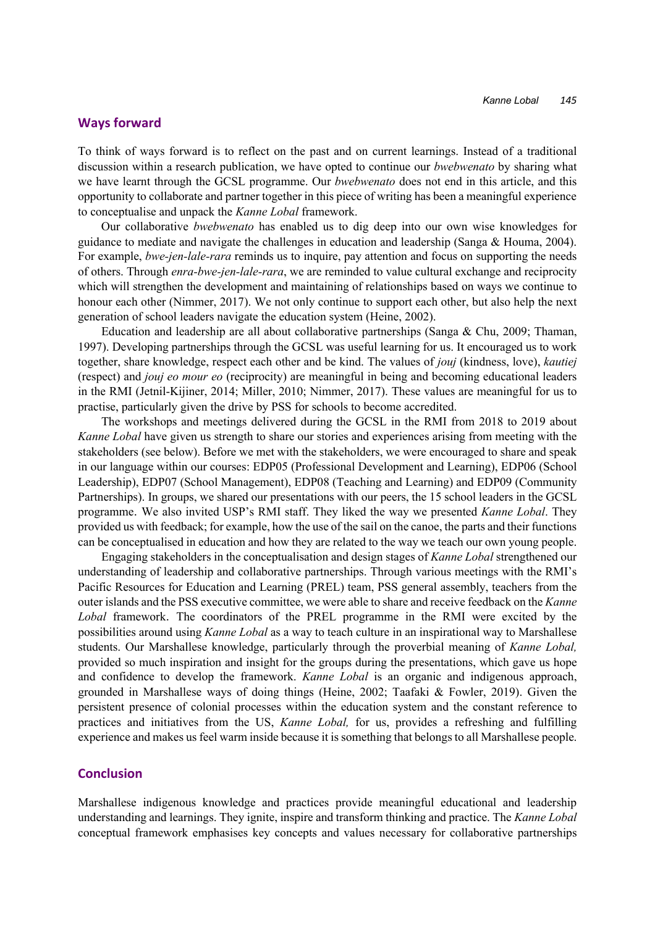#### **Ways forward**

To think of ways forward is to reflect on the past and on current learnings. Instead of a traditional discussion within a research publication, we have opted to continue our *bwebwenato* by sharing what we have learnt through the GCSL programme. Our *bwebwenato* does not end in this article, and this opportunity to collaborate and partner together in this piece of writing has been a meaningful experience to conceptualise and unpack the *Kanne Lobal* framework.

Our collaborative *bwebwenato* has enabled us to dig deep into our own wise knowledges for guidance to mediate and navigate the challenges in education and leadership (Sanga & Houma, 2004). For example, *bwe-jen-lale-rara* reminds us to inquire, pay attention and focus on supporting the needs of others. Through *enra-bwe-jen-lale-rara*, we are reminded to value cultural exchange and reciprocity which will strengthen the development and maintaining of relationships based on ways we continue to honour each other (Nimmer, 2017). We not only continue to support each other, but also help the next generation of school leaders navigate the education system (Heine, 2002).

Education and leadership are all about collaborative partnerships (Sanga & Chu, 2009; Thaman, 1997). Developing partnerships through the GCSL was useful learning for us. It encouraged us to work together, share knowledge, respect each other and be kind. The values of *jouj* (kindness, love), *kautiej* (respect) and *jouj eo mour eo* (reciprocity) are meaningful in being and becoming educational leaders in the RMI (Jetnil-Kijiner, 2014; Miller, 2010; Nimmer, 2017). These values are meaningful for us to practise, particularly given the drive by PSS for schools to become accredited.

The workshops and meetings delivered during the GCSL in the RMI from 2018 to 2019 about *Kanne Lobal* have given us strength to share our stories and experiences arising from meeting with the stakeholders (see below). Before we met with the stakeholders, we were encouraged to share and speak in our language within our courses: EDP05 (Professional Development and Learning), EDP06 (School Leadership), EDP07 (School Management), EDP08 (Teaching and Learning) and EDP09 (Community Partnerships). In groups, we shared our presentations with our peers, the 15 school leaders in the GCSL programme. We also invited USP's RMI staff. They liked the way we presented *Kanne Lobal*. They provided us with feedback; for example, how the use of the sail on the canoe, the parts and their functions can be conceptualised in education and how they are related to the way we teach our own young people.

Engaging stakeholders in the conceptualisation and design stages of *Kanne Lobal* strengthened our understanding of leadership and collaborative partnerships. Through various meetings with the RMI's Pacific Resources for Education and Learning (PREL) team, PSS general assembly, teachers from the outer islands and the PSS executive committee, we were able to share and receive feedback on the *Kanne Lobal* framework. The coordinators of the PREL programme in the RMI were excited by the possibilities around using *Kanne Lobal* as a way to teach culture in an inspirational way to Marshallese students. Our Marshallese knowledge, particularly through the proverbial meaning of *Kanne Lobal,* provided so much inspiration and insight for the groups during the presentations, which gave us hope and confidence to develop the framework. *Kanne Lobal* is an organic and indigenous approach, grounded in Marshallese ways of doing things (Heine, 2002; Taafaki & Fowler, 2019). Given the persistent presence of colonial processes within the education system and the constant reference to practices and initiatives from the US, *Kanne Lobal,* for us, provides a refreshing and fulfilling experience and makes us feel warm inside because it is something that belongs to all Marshallese people.

### **Conclusion**

Marshallese indigenous knowledge and practices provide meaningful educational and leadership understanding and learnings. They ignite, inspire and transform thinking and practice. The *Kanne Lobal* conceptual framework emphasises key concepts and values necessary for collaborative partnerships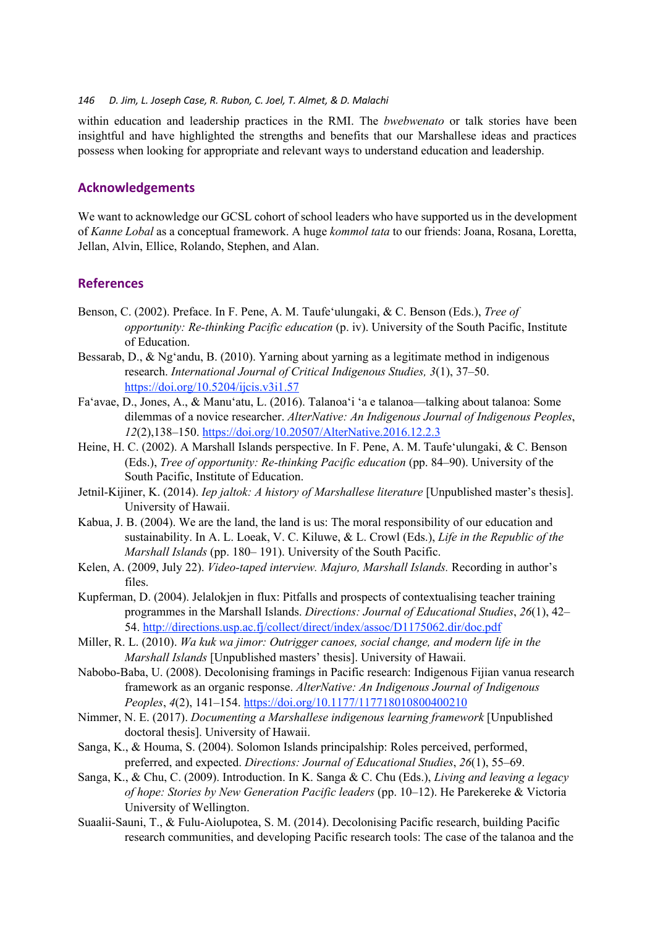within education and leadership practices in the RMI. The *bwebwenato* or talk stories have been insightful and have highlighted the strengths and benefits that our Marshallese ideas and practices possess when looking for appropriate and relevant ways to understand education and leadership.

## **Acknowledgements**

We want to acknowledge our GCSL cohort of school leaders who have supported us in the development of *Kanne Lobal* as a conceptual framework. A huge *kommol tata* to our friends: Joana, Rosana, Loretta, Jellan, Alvin, Ellice, Rolando, Stephen, and Alan.

## **References**

- Benson, C. (2002). Preface. In F. Pene, A. M. Taufe'ulungaki, & C. Benson (Eds.), *Tree of opportunity: Re-thinking Pacific education* (p. iv). University of the South Pacific, Institute of Education.
- Bessarab, D., & Ng'andu, B. (2010). Yarning about yarning as a legitimate method in indigenous research. *International Journal of Critical Indigenous Studies, 3*(1), 37–50. https://doi.org/10.5204/ijcis.v3i1.57
- Fa'avae, D., Jones, A., & Manu'atu, L. (2016). Talanoa'i 'a e talanoa—talking about talanoa: Some dilemmas of a novice researcher. *AlterNative: An Indigenous Journal of Indigenous Peoples*, *12*(2),138–150. https://doi.org/10.20507/AlterNative.2016.12.2.3
- Heine, H. C. (2002). A Marshall Islands perspective. In F. Pene, A. M. Taufe'ulungaki, & C. Benson (Eds.), *Tree of opportunity: Re-thinking Pacific education* (pp. 84–90). University of the South Pacific, Institute of Education.
- Jetnil-Kijiner, K. (2014). *Iep jaltok: A history of Marshallese literature* [Unpublished master's thesis]. University of Hawaii.
- Kabua, J. B. (2004). We are the land, the land is us: The moral responsibility of our education and sustainability. In A. L. Loeak, V. C. Kiluwe, & L. Crowl (Eds.), *Life in the Republic of the Marshall Islands* (pp. 180– 191). University of the South Pacific.
- Kelen, A. (2009, July 22). *Video-taped interview. Majuro, Marshall Islands.* Recording in author's files.
- Kupferman, D. (2004). Jelalokjen in flux: Pitfalls and prospects of contextualising teacher training programmes in the Marshall Islands. *Directions: Journal of Educational Studies*, *26*(1), 42– 54. http://directions.usp.ac.fj/collect/direct/index/assoc/D1175062.dir/doc.pdf
- Miller, R. L. (2010). *Wa kuk wa jimor: Outrigger canoes, social change, and modern life in the Marshall Islands* [Unpublished masters' thesis]. University of Hawaii.
- Nabobo-Baba, U. (2008). Decolonising framings in Pacific research: Indigenous Fijian vanua research framework as an organic response. *AlterNative: An Indigenous Journal of Indigenous Peoples*, *4*(2), 141–154. https://doi.org/10.1177/117718010800400210
- Nimmer, N. E. (2017). *Documenting a Marshallese indigenous learning framework* [Unpublished doctoral thesis]. University of Hawaii.
- Sanga, K., & Houma, S. (2004). Solomon Islands principalship: Roles perceived, performed, preferred, and expected. *Directions: Journal of Educational Studies*, *26*(1), 55–69.
- Sanga, K., & Chu, C. (2009). Introduction. In K. Sanga & C. Chu (Eds.), *Living and leaving a legacy of hope: Stories by New Generation Pacific leaders* (pp. 10–12). He Parekereke & Victoria University of Wellington.
- Suaalii-Sauni, T., & Fulu-Aiolupotea, S. M. (2014). Decolonising Pacific research, building Pacific research communities, and developing Pacific research tools: The case of the talanoa and the